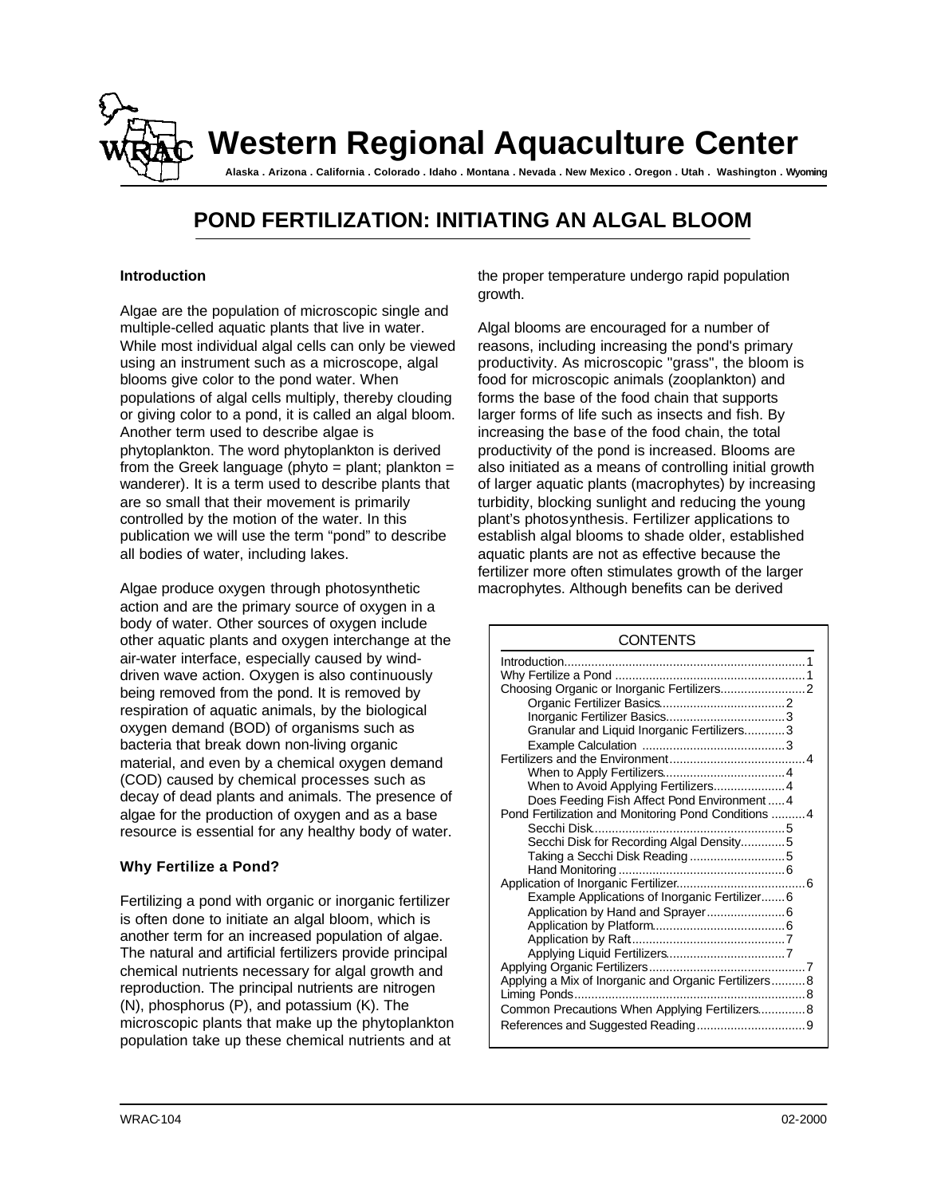

# **POND FERTILIZATION: INITIATING AN ALGAL BLOOM**

#### **Introduction**

Algae are the population of microscopic single and multiple-celled aquatic plants that live in water. While most individual algal cells can only be viewed using an instrument such as a microscope, algal blooms give color to the pond water. When populations of algal cells multiply, thereby clouding or giving color to a pond, it is called an algal bloom. Another term used to describe algae is phytoplankton. The word phytoplankton is derived from the Greek language (phyto  $=$  plant; plankton  $=$ wanderer). It is a term used to describe plants that are so small that their movement is primarily controlled by the motion of the water. In this publication we will use the term "pond" to describe all bodies of water, including lakes.

Algae produce oxygen through photosynthetic action and are the primary source of oxygen in a body of water. Other sources of oxygen include other aquatic plants and oxygen interchange at the air-water interface, especially caused by winddriven wave action. Oxygen is also continuously being removed from the pond. It is removed by respiration of aquatic animals, by the biological oxygen demand (BOD) of organisms such as bacteria that break down non-living organic material, and even by a chemical oxygen demand (COD) caused by chemical processes such as decay of dead plants and animals. The presence of algae for the production of oxygen and as a base resource is essential for any healthy body of water.

# **Why Fertilize a Pond?**

Fertilizing a pond with organic or inorganic fertilizer is often done to initiate an algal bloom, which is another term for an increased population of algae. The natural and artificial fertilizers provide principal chemical nutrients necessary for algal growth and reproduction. The principal nutrients are nitrogen (N), phosphorus (P), and potassium (K). The microscopic plants that make up the phytoplankton population take up these chemical nutrients and at

the proper temperature undergo rapid population growth.

Algal blooms are encouraged for a number of reasons, including increasing the pond's primary productivity. As microscopic "grass", the bloom is food for microscopic animals (zooplankton) and forms the base of the food chain that supports larger forms of life such as insects and fish. By increasing the base of the food chain, the total productivity of the pond is increased. Blooms are also initiated as a means of controlling initial growth of larger aquatic plants (macrophytes) by increasing turbidity, blocking sunlight and reducing the young plant's photosynthesis. Fertilizer applications to establish algal blooms to shade older, established aquatic plants are not as effective because the fertilizer more often stimulates growth of the larger macrophytes. Although benefits can be derived

| <b>CONTENTS</b>                                      |  |  |
|------------------------------------------------------|--|--|
|                                                      |  |  |
|                                                      |  |  |
|                                                      |  |  |
|                                                      |  |  |
|                                                      |  |  |
| Granular and Liquid Inorganic Fertilizers3           |  |  |
|                                                      |  |  |
|                                                      |  |  |
|                                                      |  |  |
| When to Avoid Applying Fertilizers4                  |  |  |
| Does Feeding Fish Affect Pond Environment 4          |  |  |
| Pond Fertilization and Monitoring Pond Conditions  4 |  |  |
|                                                      |  |  |
| Secchi Disk for Recording Algal Density5             |  |  |
| Taking a Secchi Disk Reading5                        |  |  |
|                                                      |  |  |
|                                                      |  |  |
| Example Applications of Inorganic Fertilizer 6       |  |  |
| Application by Hand and Sprayer 6                    |  |  |
|                                                      |  |  |
|                                                      |  |  |
|                                                      |  |  |
|                                                      |  |  |
| Applying a Mix of Inorganic and Organic Fertilizers8 |  |  |
|                                                      |  |  |
| Common Precautions When Applying Fertilizers 8       |  |  |
|                                                      |  |  |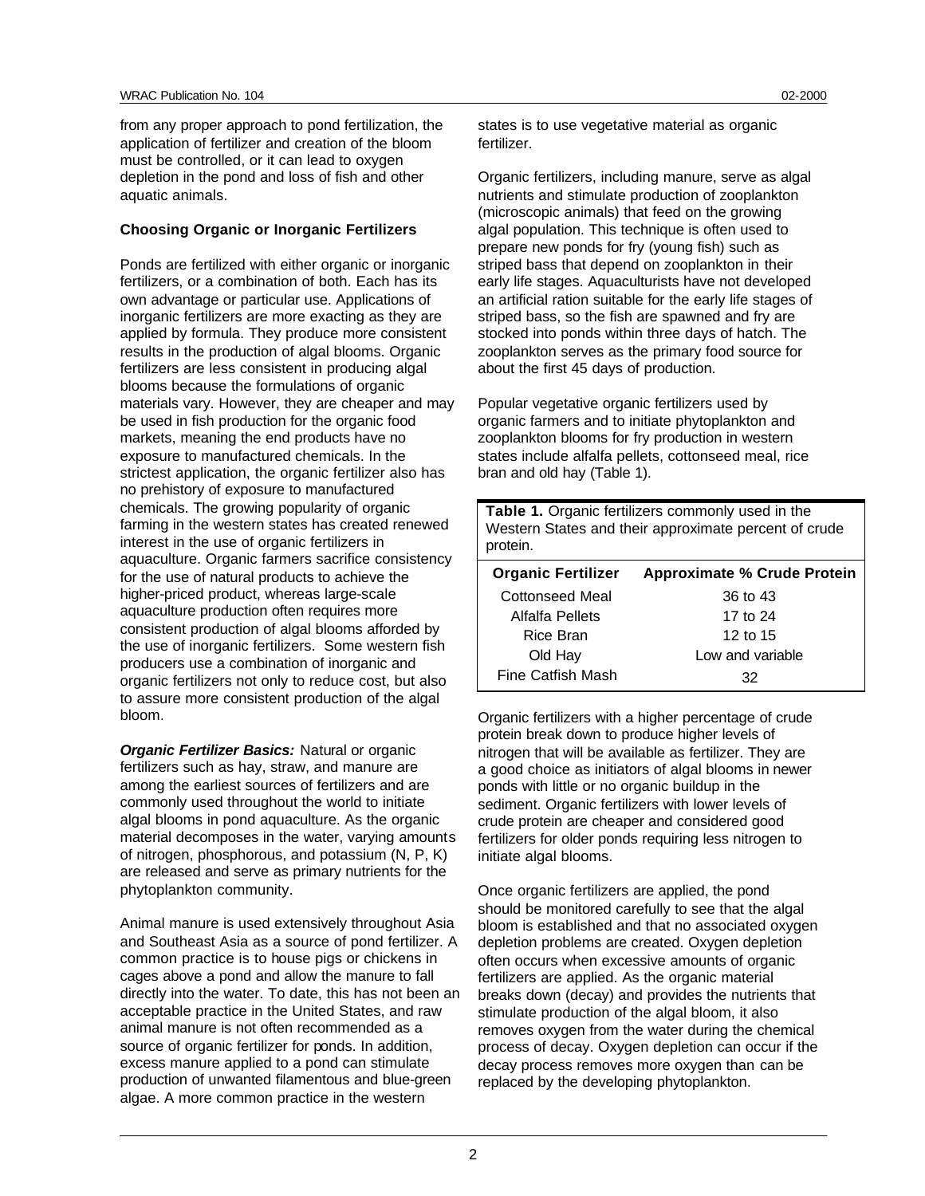from any proper approach to pond fertilization, the application of fertilizer and creation of the bloom must be controlled, or it can lead to oxygen depletion in the pond and loss of fish and other aquatic animals.

#### **Choosing Organic or Inorganic Fertilizers**

Ponds are fertilized with either organic or inorganic fertilizers, or a combination of both. Each has its own advantage or particular use. Applications of inorganic fertilizers are more exacting as they are applied by formula. They produce more consistent results in the production of algal blooms. Organic fertilizers are less consistent in producing algal blooms because the formulations of organic materials vary. However, they are cheaper and may be used in fish production for the organic food markets, meaning the end products have no exposure to manufactured chemicals. In the strictest application, the organic fertilizer also has no prehistory of exposure to manufactured chemicals. The growing popularity of organic farming in the western states has created renewed interest in the use of organic fertilizers in aquaculture. Organic farmers sacrifice consistency for the use of natural products to achieve the higher-priced product, whereas large-scale aquaculture production often requires more consistent production of algal blooms afforded by the use of inorganic fertilizers. Some western fish producers use a combination of inorganic and organic fertilizers not only to reduce cost, but also to assure more consistent production of the algal bloom.

*Organic Fertilizer Basics:* Natural or organic fertilizers such as hay, straw, and manure are among the earliest sources of fertilizers and are commonly used throughout the world to initiate algal blooms in pond aquaculture. As the organic material decomposes in the water, varying amounts of nitrogen, phosphorous, and potassium (N, P, K) are released and serve as primary nutrients for the phytoplankton community.

Animal manure is used extensively throughout Asia and Southeast Asia as a source of pond fertilizer. A common practice is to house pigs or chickens in cages above a pond and allow the manure to fall directly into the water. To date, this has not been an acceptable practice in the United States, and raw animal manure is not often recommended as a source of organic fertilizer for ponds. In addition, excess manure applied to a pond can stimulate production of unwanted filamentous and blue-green algae. A more common practice in the western

states is to use vegetative material as organic fertilizer.

Organic fertilizers, including manure, serve as algal nutrients and stimulate production of zooplankton (microscopic animals) that feed on the growing algal population. This technique is often used to prepare new ponds for fry (young fish) such as striped bass that depend on zooplankton in their early life stages. Aquaculturists have not developed an artificial ration suitable for the early life stages of striped bass, so the fish are spawned and fry are stocked into ponds within three days of hatch. The zooplankton serves as the primary food source for about the first 45 days of production.

Popular vegetative organic fertilizers used by organic farmers and to initiate phytoplankton and zooplankton blooms for fry production in western states include alfalfa pellets, cottonseed meal, rice bran and old hay (Table 1).

| Table 1. Organic fertilizers commonly used in the<br>Western States and their approximate percent of crude<br>protein. |                                    |  |
|------------------------------------------------------------------------------------------------------------------------|------------------------------------|--|
| <b>Organic Fertilizer</b>                                                                                              | <b>Approximate % Crude Protein</b> |  |
| Cottonseed Meal                                                                                                        | 36 to 43                           |  |
| Alfalfa Pellets                                                                                                        | 17 to 24                           |  |
| Rice Bran                                                                                                              | 12 to 15                           |  |
| Old Hay                                                                                                                | Low and variable                   |  |
| Fine Catfish Mash                                                                                                      | 32                                 |  |

Organic fertilizers with a higher percentage of crude protein break down to produce higher levels of nitrogen that will be available as fertilizer. They are a good choice as initiators of algal blooms in newer ponds with little or no organic buildup in the sediment. Organic fertilizers with lower levels of crude protein are cheaper and considered good fertilizers for older ponds requiring less nitrogen to initiate algal blooms.

Once organic fertilizers are applied, the pond should be monitored carefully to see that the algal bloom is established and that no associated oxygen depletion problems are created. Oxygen depletion often occurs when excessive amounts of organic fertilizers are applied. As the organic material breaks down (decay) and provides the nutrients that stimulate production of the algal bloom, it also removes oxygen from the water during the chemical process of decay. Oxygen depletion can occur if the decay process removes more oxygen than can be replaced by the developing phytoplankton.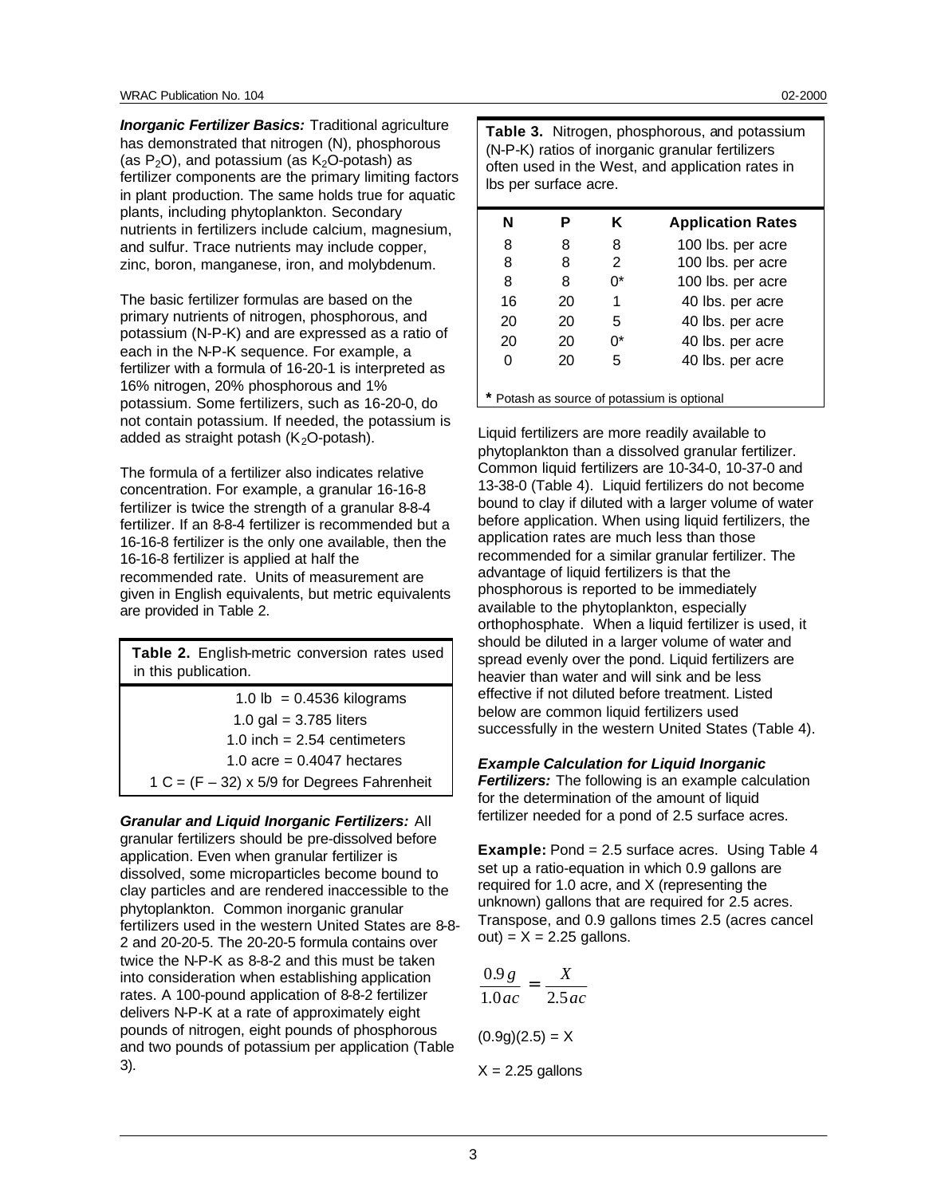*Inorganic Fertilizer Basics:* Traditional agriculture has demonstrated that nitrogen (N), phosphorous (as  $P_2O$ ), and potassium (as  $K_2O$ -potash) as fertilizer components are the primary limiting factors in plant production. The same holds true for aquatic plants, including phytoplankton. Secondary nutrients in fertilizers include calcium, magnesium, and sulfur. Trace nutrients may include copper, zinc, boron, manganese, iron, and molybdenum.

The basic fertilizer formulas are based on the primary nutrients of nitrogen, phosphorous, and potassium (N-P-K) and are expressed as a ratio of each in the N-P-K sequence. For example, a fertilizer with a formula of 16-20-1 is interpreted as 16% nitrogen, 20% phosphorous and 1% potassium. Some fertilizers, such as 16-20-0, do not contain potassium. If needed, the potassium is added as straight potash  $(K_2O$ -potash).

The formula of a fertilizer also indicates relative concentration. For example, a granular 16-16-8 fertilizer is twice the strength of a granular 8-8-4 fertilizer. If an 8-8-4 fertilizer is recommended but a 16-16-8 fertilizer is the only one available, then the 16-16-8 fertilizer is applied at half the recommended rate. Units of measurement are given in English equivalents, but metric equivalents are provided in Table 2.

| Table 2. English-metric conversion rates used<br>in this publication. |  |  |
|-----------------------------------------------------------------------|--|--|
| 1.0 lb = $0.4536$ kilograms                                           |  |  |
| 1.0 gal = $3.785$ liters                                              |  |  |
| 1.0 inch = $2.54$ centimeters                                         |  |  |
| 1.0 acre = $0.4047$ hectares                                          |  |  |
| $1 C = (F - 32) \times 5/9$ for Degrees Fahrenheit                    |  |  |

*Granular and Liquid Inorganic Fertilizers:* All granular fertilizers should be pre-dissolved before application. Even when granular fertilizer is dissolved, some microparticles become bound to clay particles and are rendered inaccessible to the phytoplankton. Common inorganic granular fertilizers used in the western United States are 8-8- 2 and 20-20-5. The 20-20-5 formula contains over twice the N-P-K as 8-8-2 and this must be taken into consideration when establishing application rates. A 100-pound application of 8-8-2 fertilizer delivers N-P-K at a rate of approximately eight pounds of nitrogen, eight pounds of phosphorous and two pounds of potassium per application (Table 3).

**Table 3.** Nitrogen, phosphorous, and potassium (N-P-K) ratios of inorganic granular fertilizers often used in the West, and application rates in lbs per surface acre.

| N                                           |    | Κ              | <b>Application Rates</b> |
|---------------------------------------------|----|----------------|--------------------------|
| 8                                           | 8  | 8              | 100 lbs. per acre        |
| 8                                           | 8  | $\mathfrak{p}$ | 100 lbs. per acre        |
| 8                                           | 8  | ሰ*             | 100 lbs. per acre        |
| 16                                          | 20 | 1              | 40 lbs. per acre         |
| 20                                          | 20 | 5              | 40 lbs. per acre         |
| 20                                          | 20 | ሰ*             | 40 lbs. per acre         |
| 0                                           | 20 | 5              | 40 lbs. per acre         |
| * Potash as source of potassium is optional |    |                |                          |

Liquid fertilizers are more readily available to phytoplankton than a dissolved granular fertilizer. Common liquid fertilizers are 10-34-0, 10-37-0 and 13-38-0 (Table 4). Liquid fertilizers do not become bound to clay if diluted with a larger volume of water before application. When using liquid fertilizers, the application rates are much less than those recommended for a similar granular fertilizer. The advantage of liquid fertilizers is that the phosphorous is reported to be immediately available to the phytoplankton, especially orthophosphate. When a liquid fertilizer is used, it should be diluted in a larger volume of water and spread evenly over the pond. Liquid fertilizers are heavier than water and will sink and be less effective if not diluted before treatment. Listed below are common liquid fertilizers used successfully in the western United States (Table 4).

#### *Example Calculation for Liquid Inorganic*

*Fertilizers:* The following is an example calculation for the determination of the amount of liquid fertilizer needed for a pond of 2.5 surface acres.

**Example:** Pond = 2.5 surface acres. Using Table 4 set up a ratio-equation in which 0.9 gallons are required for 1.0 acre, and X (representing the unknown) gallons that are required for 2.5 acres. Transpose, and 0.9 gallons times 2.5 (acres cancel  $out) = X = 2.25$  gallons.

$$
\frac{0.9 g}{1.0 ac} = \frac{X}{2.5 ac}
$$

$$
(0.9g)(2.5) = X
$$

$$
X = 2.25 \text{ gallons}
$$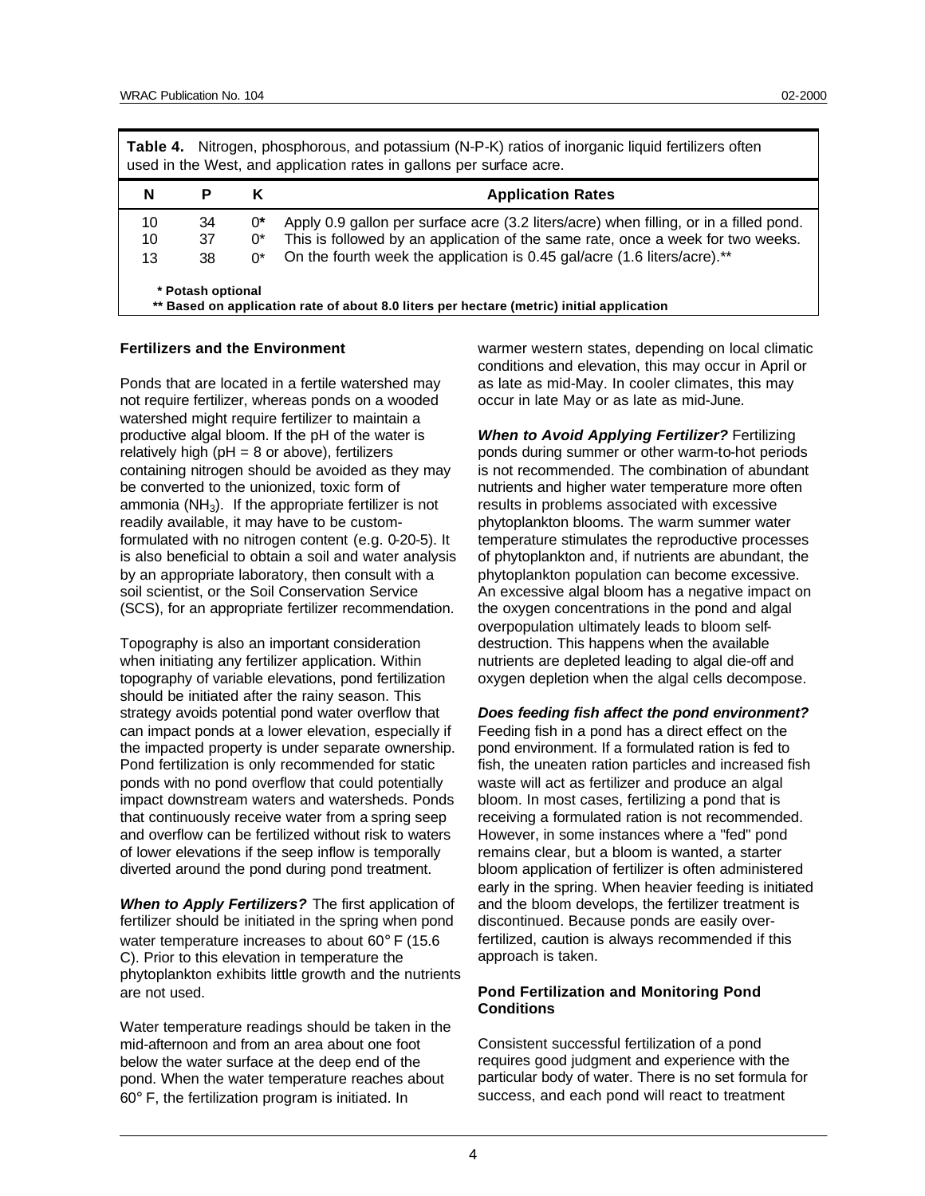| Table 4. Nitrogen, phosphorous, and potassium (N-P-K) ratios of inorganic liquid fertilizers often<br>used in the West, and application rates in gallons per surface acre. |    |    |                                                                                        |  |
|----------------------------------------------------------------------------------------------------------------------------------------------------------------------------|----|----|----------------------------------------------------------------------------------------|--|
| N                                                                                                                                                                          | P  | Κ  | <b>Application Rates</b>                                                               |  |
| 10                                                                                                                                                                         | 34 | 0* | Apply 0.9 gallon per surface acre (3.2 liters/acre) when filling, or in a filled pond. |  |
| 10                                                                                                                                                                         | 37 | 0* | This is followed by an application of the same rate, once a week for two weeks.        |  |
| 13                                                                                                                                                                         | 38 | በ* | On the fourth week the application is 0.45 gal/acre (1.6 liters/acre).**               |  |
| * Potash optional<br>** Based on application rate of about 8.0 liters per hectare (metric) initial application                                                             |    |    |                                                                                        |  |

#### **Fertilizers and the Environment**

Ponds that are located in a fertile watershed may not require fertilizer, whereas ponds on a wooded watershed might require fertilizer to maintain a productive algal bloom. If the pH of the water is relatively high ( $pH = 8$  or above), fertilizers containing nitrogen should be avoided as they may be converted to the unionized, toxic form of ammonia ( $NH<sub>3</sub>$ ). If the appropriate fertilizer is not readily available, it may have to be customformulated with no nitrogen content (e.g. 0-20-5). It is also beneficial to obtain a soil and water analysis by an appropriate laboratory, then consult with a soil scientist, or the Soil Conservation Service (SCS), for an appropriate fertilizer recommendation.

Topography is also an important consideration when initiating any fertilizer application. Within topography of variable elevations, pond fertilization should be initiated after the rainy season. This strategy avoids potential pond water overflow that can impact ponds at a lower elevation, especially if the impacted property is under separate ownership. Pond fertilization is only recommended for static ponds with no pond overflow that could potentially impact downstream waters and watersheds. Ponds that continuously receive water from a spring seep and overflow can be fertilized without risk to waters of lower elevations if the seep inflow is temporally diverted around the pond during pond treatment.

*When to Apply Fertilizers?* The first application of fertilizer should be initiated in the spring when pond water temperature increases to about 60° F (15.6 C). Prior to this elevation in temperature the phytoplankton exhibits little growth and the nutrients are not used.

Water temperature readings should be taken in the mid-afternoon and from an area about one foot below the water surface at the deep end of the pond. When the water temperature reaches about 60° F, the fertilization program is initiated. In

warmer western states, depending on local climatic conditions and elevation, this may occur in April or as late as mid-May. In cooler climates, this may occur in late May or as late as mid-June.

*When to Avoid Applying Fertilizer?* Fertilizing ponds during summer or other warm-to-hot periods is not recommended. The combination of abundant nutrients and higher water temperature more often results in problems associated with excessive phytoplankton blooms. The warm summer water temperature stimulates the reproductive processes of phytoplankton and, if nutrients are abundant, the phytoplankton population can become excessive. An excessive algal bloom has a negative impact on the oxygen concentrations in the pond and algal overpopulation ultimately leads to bloom selfdestruction. This happens when the available nutrients are depleted leading to algal die-off and oxygen depletion when the algal cells decompose.

#### *Does feeding fish affect the pond environment?*

Feeding fish in a pond has a direct effect on the pond environment. If a formulated ration is fed to fish, the uneaten ration particles and increased fish waste will act as fertilizer and produce an algal bloom. In most cases, fertilizing a pond that is receiving a formulated ration is not recommended. However, in some instances where a "fed" pond remains clear, but a bloom is wanted, a starter bloom application of fertilizer is often administered early in the spring. When heavier feeding is initiated and the bloom develops, the fertilizer treatment is discontinued. Because ponds are easily overfertilized, caution is always recommended if this approach is taken.

#### **Pond Fertilization and Monitoring Pond Conditions**

Consistent successful fertilization of a pond requires good judgment and experience with the particular body of water. There is no set formula for success, and each pond will react to treatment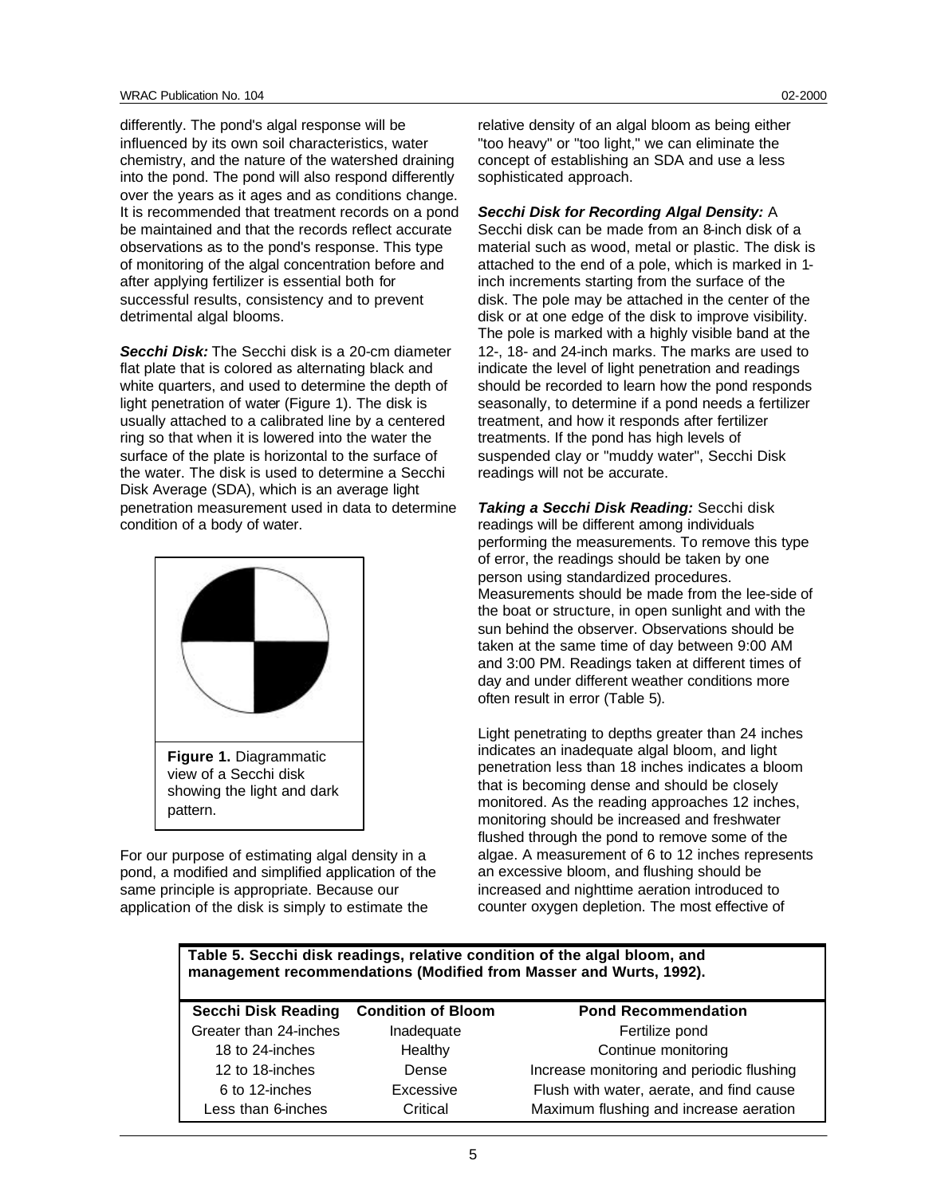differently. The pond's algal response will be influenced by its own soil characteristics, water chemistry, and the nature of the watershed draining into the pond. The pond will also respond differently over the years as it ages and as conditions change. It is recommended that treatment records on a pond be maintained and that the records reflect accurate observations as to the pond's response. This type of monitoring of the algal concentration before and after applying fertilizer is essential both for successful results, consistency and to prevent detrimental algal blooms.

*Secchi Disk:* The Secchi disk is a 20-cm diameter flat plate that is colored as alternating black and white quarters, and used to determine the depth of light penetration of water (Figure 1). The disk is usually attached to a calibrated line by a centered ring so that when it is lowered into the water the surface of the plate is horizontal to the surface of the water. The disk is used to determine a Secchi Disk Average (SDA), which is an average light penetration measurement used in data to determine condition of a body of water.



For our purpose of estimating algal density in a pond, a modified and simplified application of the same principle is appropriate. Because our application of the disk is simply to estimate the

relative density of an algal bloom as being either "too heavy" or "too light," we can eliminate the concept of establishing an SDA and use a less sophisticated approach.

#### *Secchi Disk for Recording Algal Density:* A

Secchi disk can be made from an 8-inch disk of a material such as wood, metal or plastic. The disk is attached to the end of a pole, which is marked in 1 inch increments starting from the surface of the disk. The pole may be attached in the center of the disk or at one edge of the disk to improve visibility. The pole is marked with a highly visible band at the 12-, 18- and 24-inch marks. The marks are used to indicate the level of light penetration and readings should be recorded to learn how the pond responds seasonally, to determine if a pond needs a fertilizer treatment, and how it responds after fertilizer treatments. If the pond has high levels of suspended clay or "muddy water", Secchi Disk readings will not be accurate.

*Taking a Secchi Disk Reading:* Secchi disk readings will be different among individuals performing the measurements. To remove this type of error, the readings should be taken by one person using standardized procedures. Measurements should be made from the lee-side of the boat or structure, in open sunlight and with the sun behind the observer. Observations should be taken at the same time of day between 9:00 AM and 3:00 PM. Readings taken at different times of day and under different weather conditions more often result in error (Table 5).

Light penetrating to depths greater than 24 inches indicates an inadequate algal bloom, and light penetration less than 18 inches indicates a bloom that is becoming dense and should be closely monitored. As the reading approaches 12 inches, monitoring should be increased and freshwater flushed through the pond to remove some of the algae. A measurement of 6 to 12 inches represents an excessive bloom, and flushing should be increased and nighttime aeration introduced to counter oxygen depletion. The most effective of

**Table 5. Secchi disk readings, relative condition of the algal bloom, and management recommendations (Modified from Masser and Wurts, 1992).**

| <b>Secchi Disk Reading</b> | <b>Condition of Bloom</b> | <b>Pond Recommendation</b>                |
|----------------------------|---------------------------|-------------------------------------------|
| Greater than 24-inches     | Inadequate                | Fertilize pond                            |
| 18 to 24-inches            | Healthy                   | Continue monitoring                       |
| 12 to 18-inches            | Dense                     | Increase monitoring and periodic flushing |
| 6 to 12-inches             | Excessive                 | Flush with water, aerate, and find cause  |
| Less than 6-inches         | Critical                  | Maximum flushing and increase aeration    |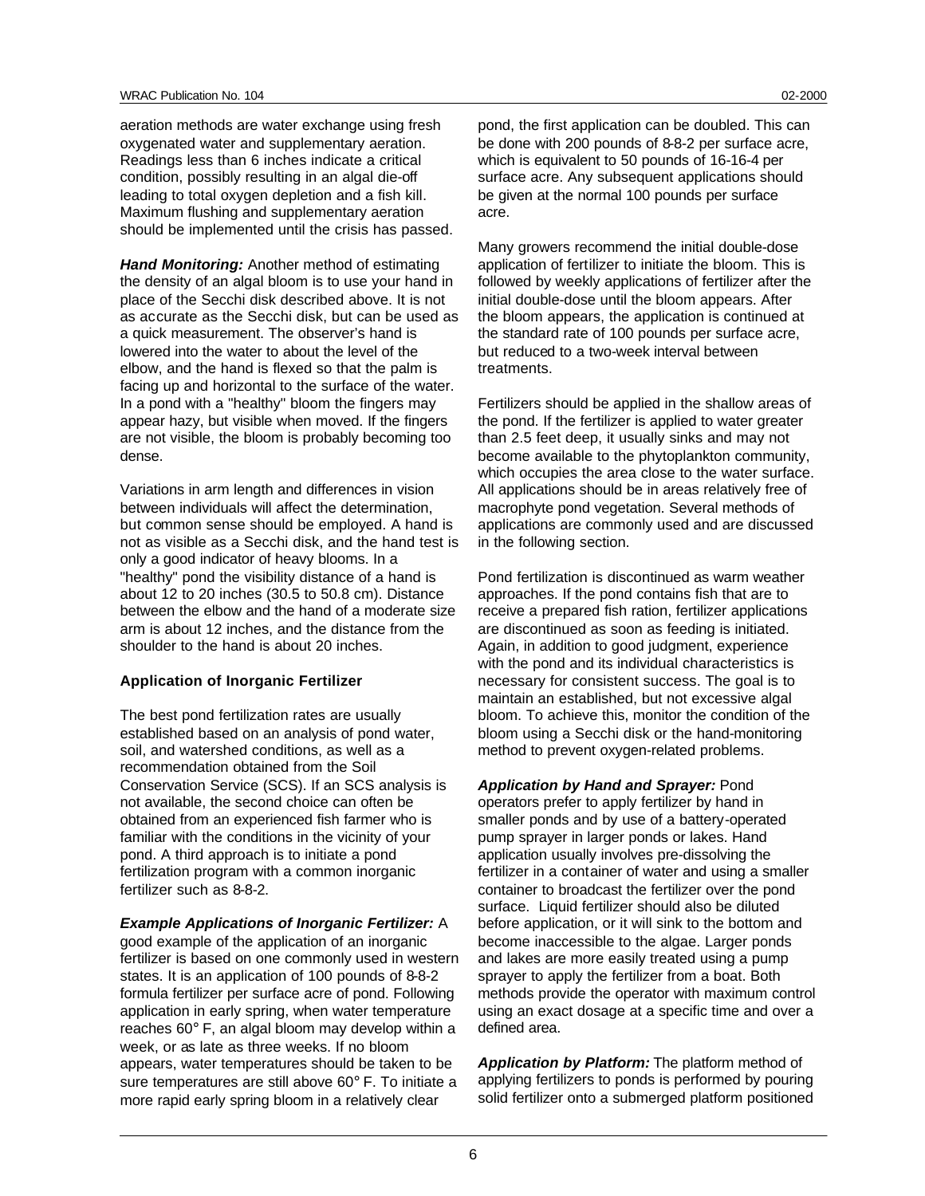aeration methods are water exchange using fresh oxygenated water and supplementary aeration. Readings less than 6 inches indicate a critical condition, possibly resulting in an algal die-off leading to total oxygen depletion and a fish kill. Maximum flushing and supplementary aeration should be implemented until the crisis has passed.

*Hand Monitoring:* Another method of estimating the density of an algal bloom is to use your hand in place of the Secchi disk described above. It is not as accurate as the Secchi disk, but can be used as a quick measurement. The observer's hand is lowered into the water to about the level of the elbow, and the hand is flexed so that the palm is facing up and horizontal to the surface of the water. In a pond with a "healthy" bloom the fingers may appear hazy, but visible when moved. If the fingers are not visible, the bloom is probably becoming too dense.

Variations in arm length and differences in vision between individuals will affect the determination, but common sense should be employed. A hand is not as visible as a Secchi disk, and the hand test is only a good indicator of heavy blooms. In a "healthy" pond the visibility distance of a hand is about 12 to 20 inches (30.5 to 50.8 cm). Distance between the elbow and the hand of a moderate size arm is about 12 inches, and the distance from the shoulder to the hand is about 20 inches.

#### **Application of Inorganic Fertilizer**

The best pond fertilization rates are usually established based on an analysis of pond water, soil, and watershed conditions, as well as a recommendation obtained from the Soil Conservation Service (SCS). If an SCS analysis is not available, the second choice can often be obtained from an experienced fish farmer who is familiar with the conditions in the vicinity of your pond. A third approach is to initiate a pond fertilization program with a common inorganic fertilizer such as 8-8-2.

#### *Example Applications of Inorganic Fertilizer:* A

good example of the application of an inorganic fertilizer is based on one commonly used in western states. It is an application of 100 pounds of 8-8-2 formula fertilizer per surface acre of pond. Following application in early spring, when water temperature reaches 60° F, an algal bloom may develop within a week, or as late as three weeks. If no bloom appears, water temperatures should be taken to be sure temperatures are still above 60° F. To initiate a more rapid early spring bloom in a relatively clear

pond, the first application can be doubled. This can be done with 200 pounds of 8-8-2 per surface acre, which is equivalent to 50 pounds of 16-16-4 per surface acre. Any subsequent applications should be given at the normal 100 pounds per surface acre.

Many growers recommend the initial double-dose application of fertilizer to initiate the bloom. This is followed by weekly applications of fertilizer after the initial double-dose until the bloom appears. After the bloom appears, the application is continued at the standard rate of 100 pounds per surface acre, but reduced to a two-week interval between treatments.

Fertilizers should be applied in the shallow areas of the pond. If the fertilizer is applied to water greater than 2.5 feet deep, it usually sinks and may not become available to the phytoplankton community, which occupies the area close to the water surface. All applications should be in areas relatively free of macrophyte pond vegetation. Several methods of applications are commonly used and are discussed in the following section.

Pond fertilization is discontinued as warm weather approaches. If the pond contains fish that are to receive a prepared fish ration, fertilizer applications are discontinued as soon as feeding is initiated. Again, in addition to good judgment, experience with the pond and its individual characteristics is necessary for consistent success. The goal is to maintain an established, but not excessive algal bloom. To achieve this, monitor the condition of the bloom using a Secchi disk or the hand-monitoring method to prevent oxygen-related problems.

*Application by Hand and Sprayer:* Pond operators prefer to apply fertilizer by hand in smaller ponds and by use of a battery-operated pump sprayer in larger ponds or lakes. Hand application usually involves pre-dissolving the fertilizer in a container of water and using a smaller container to broadcast the fertilizer over the pond surface. Liquid fertilizer should also be diluted before application, or it will sink to the bottom and become inaccessible to the algae. Larger ponds and lakes are more easily treated using a pump sprayer to apply the fertilizer from a boat. Both methods provide the operator with maximum control using an exact dosage at a specific time and over a defined area.

*Application by Platform:* The platform method of applying fertilizers to ponds is performed by pouring solid fertilizer onto a submerged platform positioned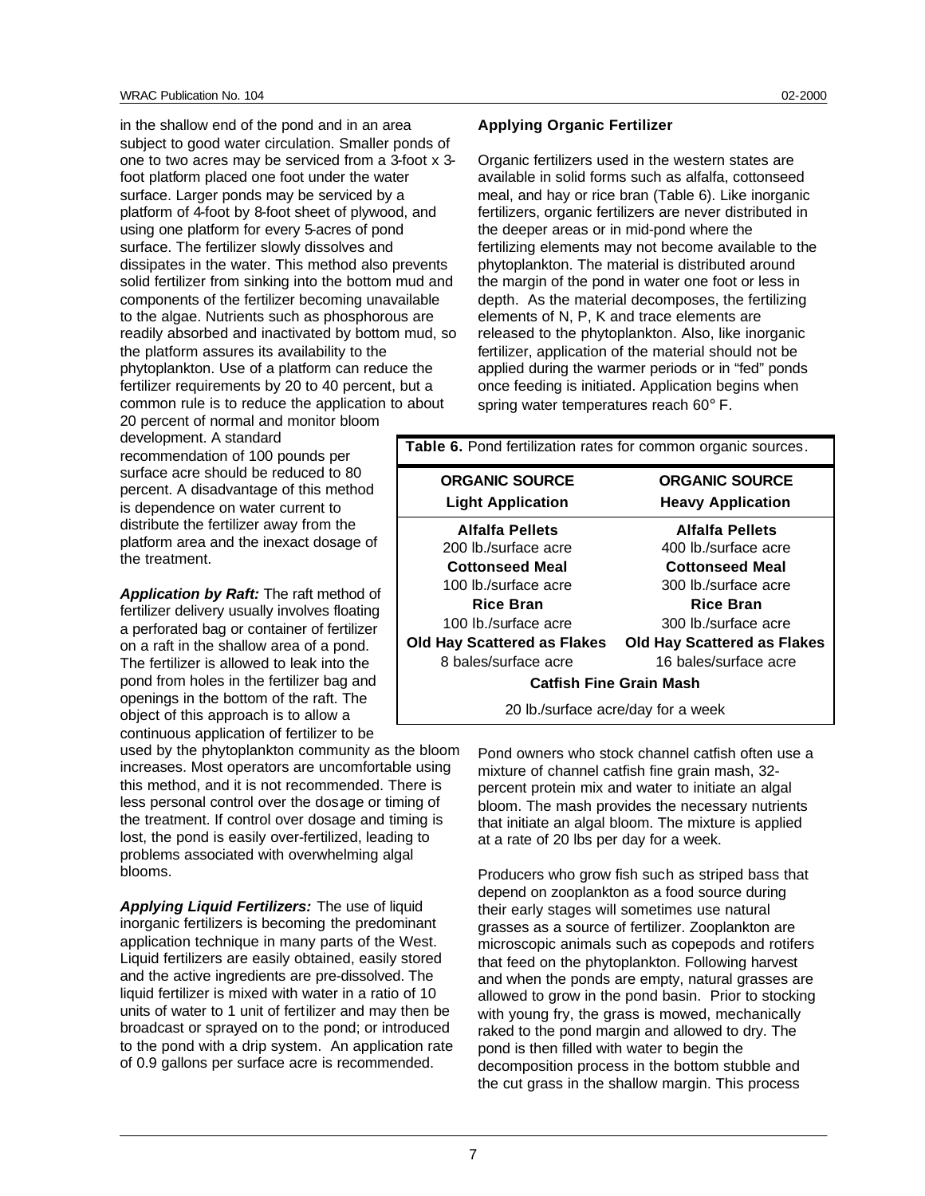in the shallow end of the pond and in an area subject to good water circulation. Smaller ponds of one to two acres may be serviced from a 3-foot x 3 foot platform placed one foot under the water surface. Larger ponds may be serviced by a platform of 4-foot by 8-foot sheet of plywood, and using one platform for every 5-acres of pond surface. The fertilizer slowly dissolves and dissipates in the water. This method also prevents solid fertilizer from sinking into the bottom mud and components of the fertilizer becoming unavailable to the algae. Nutrients such as phosphorous are readily absorbed and inactivated by bottom mud, so the platform assures its availability to the phytoplankton. Use of a platform can reduce the fertilizer requirements by 20 to 40 percent, but a common rule is to reduce the application to about 20 percent of normal and monitor bloom

development. A standard recommendation of 100 pounds per surface acre should be reduced to 80 percent. A disadvantage of this method is dependence on water current to distribute the fertilizer away from the platform area and the inexact dosage of the treatment.

*Application by Raft:* The raft method of fertilizer delivery usually involves floating a perforated bag or container of fertilizer on a raft in the shallow area of a pond. The fertilizer is allowed to leak into the pond from holes in the fertilizer bag and openings in the bottom of the raft. The object of this approach is to allow a continuous application of fertilizer to be

used by the phytoplankton community as the bloom increases. Most operators are uncomfortable using this method, and it is not recommended. There is less personal control over the dosage or timing of the treatment. If control over dosage and timing is lost, the pond is easily over-fertilized, leading to problems associated with overwhelming algal blooms.

*Applying Liquid Fertilizers:* The use of liquid inorganic fertilizers is becoming the predominant application technique in many parts of the West. Liquid fertilizers are easily obtained, easily stored and the active ingredients are pre-dissolved. The liquid fertilizer is mixed with water in a ratio of 10 units of water to 1 unit of fertilizer and may then be broadcast or sprayed on to the pond; or introduced to the pond with a drip system. An application rate of 0.9 gallons per surface acre is recommended.

#### **Applying Organic Fertilizer**

Organic fertilizers used in the western states are available in solid forms such as alfalfa, cottonseed meal, and hay or rice bran (Table 6). Like inorganic fertilizers, organic fertilizers are never distributed in the deeper areas or in mid-pond where the fertilizing elements may not become available to the phytoplankton. The material is distributed around the margin of the pond in water one foot or less in depth. As the material decomposes, the fertilizing elements of N, P, K and trace elements are released to the phytoplankton. Also, like inorganic fertilizer, application of the material should not be applied during the warmer periods or in "fed" ponds once feeding is initiated. Application begins when spring water temperatures reach 60° F.

| Table 6. Pond fertilization rates for common organic sources. |                                    |  |
|---------------------------------------------------------------|------------------------------------|--|
| <b>ORGANIC SOURCE</b>                                         | <b>ORGANIC SOURCE</b>              |  |
| <b>Light Application</b>                                      | <b>Heavy Application</b>           |  |
| Alfalfa Pellets                                               | Alfalfa Pellets                    |  |
| 200 lb./surface acre                                          | 400 lb./surface acre               |  |
| <b>Cottonseed Meal</b>                                        | <b>Cottonseed Meal</b>             |  |
| 100 lb./surface acre                                          | 300 lb./surface acre               |  |
| <b>Rice Bran</b>                                              | <b>Rice Bran</b>                   |  |
| 100 lb./surface acre                                          | 300 lb./surface acre               |  |
| <b>Old Hay Scattered as Flakes</b>                            | <b>Old Hay Scattered as Flakes</b> |  |
| 8 bales/surface acre                                          | 16 bales/surface acre              |  |
| <b>Catfish Fine Grain Mash</b>                                |                                    |  |
| 20 lb./surface acre/day for a week                            |                                    |  |

Pond owners who stock channel catfish often use a mixture of channel catfish fine grain mash, 32 percent protein mix and water to initiate an algal bloom. The mash provides the necessary nutrients that initiate an algal bloom. The mixture is applied at a rate of 20 lbs per day for a week.

Producers who grow fish such as striped bass that depend on zooplankton as a food source during their early stages will sometimes use natural grasses as a source of fertilizer. Zooplankton are microscopic animals such as copepods and rotifers that feed on the phytoplankton. Following harvest and when the ponds are empty, natural grasses are allowed to grow in the pond basin. Prior to stocking with young fry, the grass is mowed, mechanically raked to the pond margin and allowed to dry. The pond is then filled with water to begin the decomposition process in the bottom stubble and the cut grass in the shallow margin. This process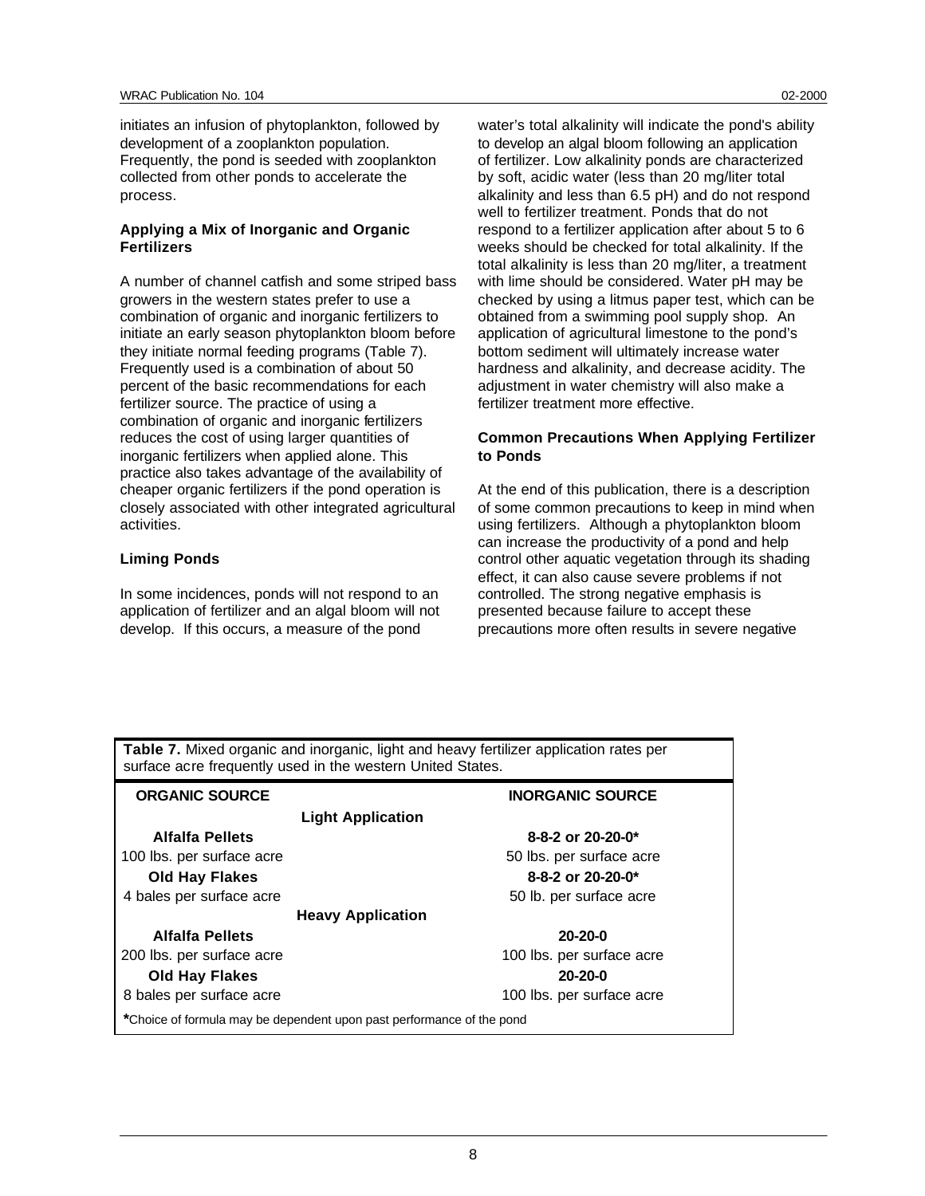initiates an infusion of phytoplankton, followed by development of a zooplankton population. Frequently, the pond is seeded with zooplankton collected from other ponds to accelerate the process.

#### **Applying a Mix of Inorganic and Organic Fertilizers**

A number of channel catfish and some striped bass growers in the western states prefer to use a combination of organic and inorganic fertilizers to initiate an early season phytoplankton bloom before they initiate normal feeding programs (Table 7). Frequently used is a combination of about 50 percent of the basic recommendations for each fertilizer source. The practice of using a combination of organic and inorganic fertilizers reduces the cost of using larger quantities of inorganic fertilizers when applied alone. This practice also takes advantage of the availability of cheaper organic fertilizers if the pond operation is closely associated with other integrated agricultural activities.

## **Liming Ponds**

In some incidences, ponds will not respond to an application of fertilizer and an algal bloom will not develop. If this occurs, a measure of the pond

water's total alkalinity will indicate the pond's ability to develop an algal bloom following an application of fertilizer. Low alkalinity ponds are characterized by soft, acidic water (less than 20 mg/liter total alkalinity and less than 6.5 pH) and do not respond well to fertilizer treatment. Ponds that do not respond to a fertilizer application after about 5 to 6 weeks should be checked for total alkalinity. If the total alkalinity is less than 20 mg/liter, a treatment with lime should be considered. Water pH may be checked by using a litmus paper test, which can be obtained from a swimming pool supply shop. An application of agricultural limestone to the pond's bottom sediment will ultimately increase water hardness and alkalinity, and decrease acidity. The adjustment in water chemistry will also make a fertilizer treatment more effective.

## **Common Precautions When Applying Fertilizer to Ponds**

At the end of this publication, there is a description of some common precautions to keep in mind when using fertilizers. Although a phytoplankton bloom can increase the productivity of a pond and help control other aquatic vegetation through its shading effect, it can also cause severe problems if not controlled. The strong negative emphasis is presented because failure to accept these precautions more often results in severe negative

| Table 7. Mixed organic and inorganic, light and heavy fertilizer application rates per<br>surface acre frequently used in the western United States. |                                 |  |
|------------------------------------------------------------------------------------------------------------------------------------------------------|---------------------------------|--|
| <b>ORGANIC SOURCE</b>                                                                                                                                | <b>INORGANIC SOURCE</b>         |  |
| <b>Light Application</b>                                                                                                                             |                                 |  |
| Alfalfa Pellets                                                                                                                                      | 8-8-2 or $20-20-0$ <sup>*</sup> |  |
| 100 lbs. per surface acre                                                                                                                            | 50 lbs. per surface acre        |  |
| <b>Old Hay Flakes</b>                                                                                                                                | 8-8-2 or $20-20-0*$             |  |
| 4 bales per surface acre                                                                                                                             | 50 lb. per surface acre         |  |
| <b>Heavy Application</b>                                                                                                                             |                                 |  |
| <b>Alfalfa Pellets</b>                                                                                                                               | $20 - 20 - 0$                   |  |
| 200 lbs. per surface acre                                                                                                                            | 100 lbs. per surface acre       |  |
| <b>Old Hay Flakes</b>                                                                                                                                | $20 - 20 - 0$                   |  |
| 8 bales per surface acre                                                                                                                             | 100 lbs. per surface acre       |  |
| *Choice of formula may be dependent upon past performance of the pond                                                                                |                                 |  |